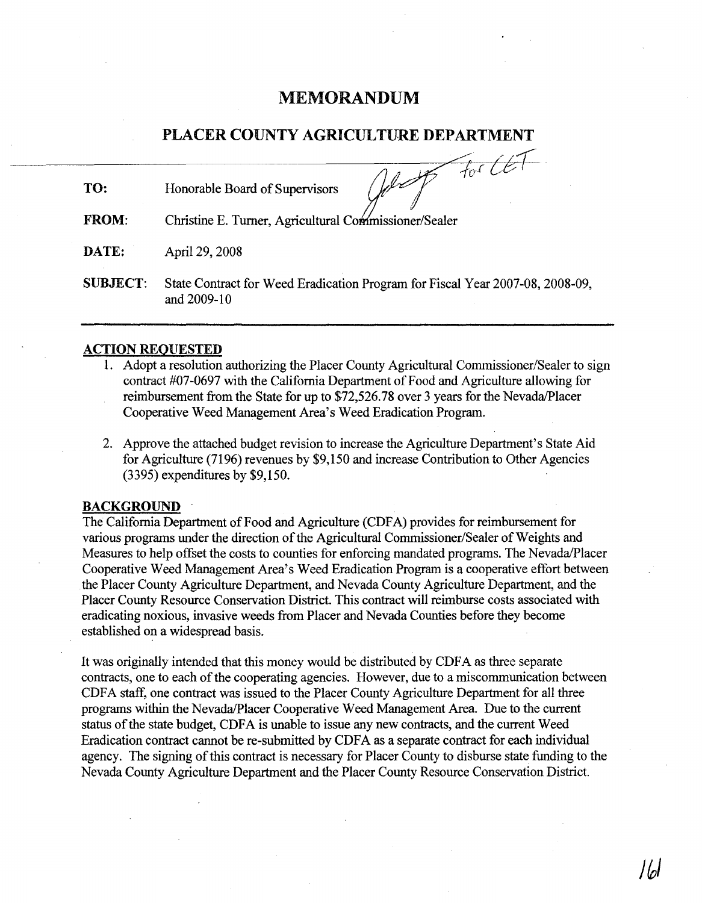# MEMORANDUM

## PLACER COUNTY AGRICULTURE DEPARTMENT

TO: Honorable Board of Supervisors

What for CET

FROM: Christine E. Turner, Agricultural Commissioner/Sealer

DATE: April 29, 2008

SUBJECT: State Contract for Weed Eradication Program for Fiscal Year 2007-08, 2008-09, and 2009-10

#### ACTION REQUESTED

- 1. Adopt a resolution authorizing the Placer County Agricultural Commissioner/Sealer to sign contract #07-0697 with the California Department of Food and Agriculture allowing for reimbursement from the State for up to \$72,526.78 over 3 years for the Nevada/Placer Cooperative Weed Management Area's Weed Eradication Program.
- 2. Approve the attached budget revision to increase the Agriculture Department's State Aid for Agriculture (7196) revenues by \$9,150 and increase Contribution to Other Agencies (3395) expenditures by \$9,150.

#### **BACKGROUND**

The California Department of Food and Agriculture (CDFA) provides for reimbursement for various programs under the direction of the Agricultural Commissioner/Sealer of Weights and Measures to help offset the costs to counties for enforcing mandated programs. The Nevada/Placer Cooperative Weed Management Area's Weed Eradication Program is a cooperative effort between the Placer County Agriculture Department, and Nevada County Agriculture Department, and the Placer County Resource Conservation District. This contract will reimburse costs associated with eradicating noxious, invasive weeds from Placer and Nevada Counties before they become established on a widespread basis.

It was originally intended that this money would be distributed by CDFA as three separate contracts, one to each of the cooperating agencies. However, due to a miscommunication between CDFA staff, one contract was issued to the Placer County Agriculture Department for all three programs within the Nevada/Placer Cooperative Weed Management Area. Due to the current status of the state budget, CDFA is unable to issue any new contracts, and the current Weed Eradication contract cannot be re-submitted by CDFA as a separate contract for each individual agency. The signing of this contract is necessary for Placer County to disburse state funding to the Nevada County Agriculture Department and the Placer County Resource Conservation District.

jto/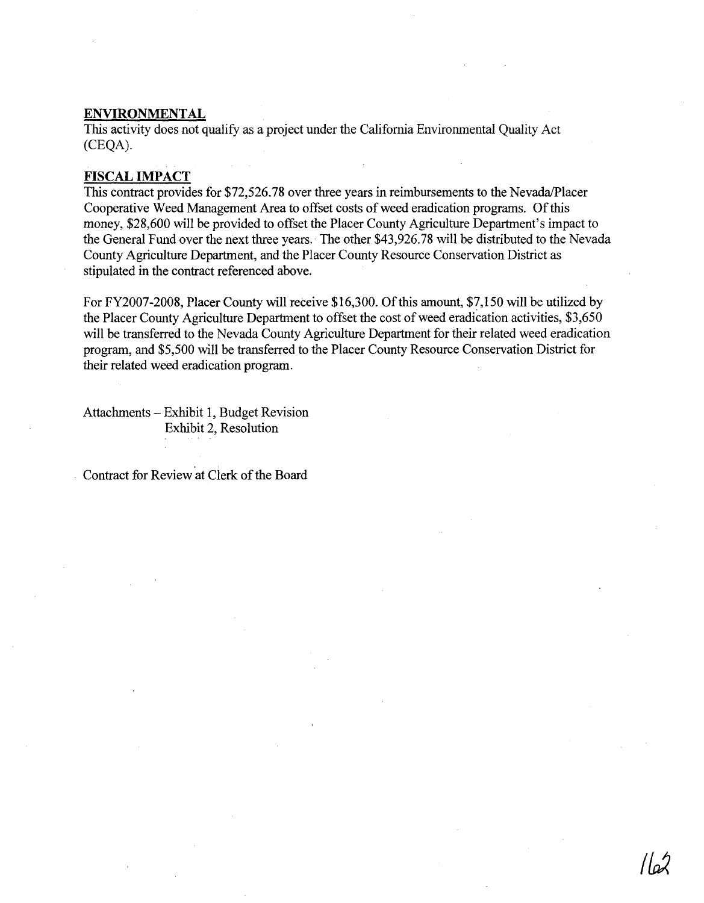## **ENVIRONMENTAL**

This activity does not qualify as a project under the California Environmental Quality Act (CEQA).

#### **FISCAL IMPACT**

This contract provides for \$72,526.78 over three years in reimbursements to the Nevada/Placer Cooperative Weed Management Area to offset costs of weed eradication programs. Of this money, \$28,600 will be provided to offset the Placer County Agriculture Department's impact to the General Fund over the next three years. The other \$43,926.78 will be distributed to the Nevada County Agriculture Department, and the Placer County Resource Conservation District as stipulated in the contract referenced above.

For FY2007-2008, Placer County will receive \$16,300. Of this amount, \$7,150 will be utilized by the Placer County Agriculture Department to offset the cost of weed eradication activities, \$3,650 will be transferred to the Nevada County Agriculture Department for their related weed eradication program, and \$5,500 will be transferred to the Placer County Resource Conservation District for their related weed eradication program.

Attachments - Exhibit 1, Budget Revision Exhibit 2, Resolution

Contract for Review at Clerk of the Board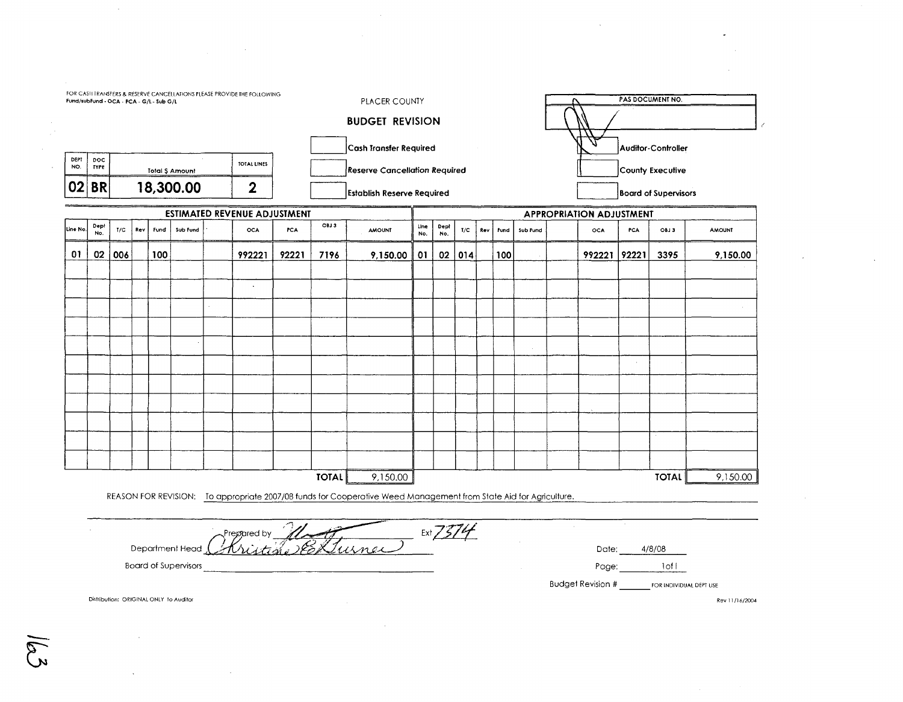| FOR CASH TRANSFERS & RESERVE CANCELLATIONS PLEASE PROVIDE THE FOLLOWING<br>Fund/subFund - OCA - PCA - G/L - Sub G/L |                                                       |                 |     |      |          |                                                                                                                   |       |                                      | PLACER COUNTY |                    |                                    |        |     |      |          |                                 | PAS DOCUMENT NO.         |                           |                                 |               |  |
|---------------------------------------------------------------------------------------------------------------------|-------------------------------------------------------|-----------------|-----|------|----------|-------------------------------------------------------------------------------------------------------------------|-------|--------------------------------------|---------------|--------------------|------------------------------------|--------|-----|------|----------|---------------------------------|--------------------------|---------------------------|---------------------------------|---------------|--|
| <b>BUDGET REVISION</b>                                                                                              |                                                       |                 |     |      |          |                                                                                                                   |       |                                      |               |                    |                                    |        |     |      |          |                                 |                          |                           |                                 |               |  |
|                                                                                                                     |                                                       |                 |     |      |          |                                                                                                                   |       |                                      |               |                    | Cash Transfer Required             |        |     |      |          |                                 |                          | <b>Auditor-Controller</b> |                                 |               |  |
| DEPT<br>NO.                                                                                                         | <b>DOC</b><br><b>TYPE</b>                             | Total \$ Amount |     |      |          | TOTAL LINES                                                                                                       |       | <b>Reserve Cancellation Required</b> |               |                    |                                    |        |     |      |          |                                 | <b>County Executive</b>  |                           |                                 |               |  |
| 02                                                                                                                  | <b>BR</b>                                             | 18,300.00       |     |      |          | $\mathbf 2$                                                                                                       |       | <b>Establish Reserve Required</b>    |               |                    |                                    |        |     |      |          | <b>Board of Supervisors</b>     |                          |                           |                                 |               |  |
| <b>ESTIMATED REVENUE ADJUSTMENT</b>                                                                                 |                                                       |                 |     |      |          |                                                                                                                   |       |                                      |               |                    |                                    |        |     |      |          | <b>APPROPRIATION ADJUSTMENT</b> |                          |                           |                                 |               |  |
| Line No.                                                                                                            | Dept<br>No.                                           | T/C             | Rev | Fund | Sub Fund | OCA                                                                                                               | PCA   | OIJ 3                                | <b>AMOUNT</b> | <b>Line</b><br>No. | Dept<br>No.                        | I/C    | Rev | Fund | Sub Fund |                                 | <b>OCA</b>               | PCA                       | OBJ3                            | <b>AMOUNT</b> |  |
| 01                                                                                                                  | 02                                                    | 006             |     | 100  |          | 992221                                                                                                            | 92221 | 7196                                 | 9,150.00      | 01                 |                                    | 02 014 |     | 100  |          |                                 | 992221                   | 92221                     | 3395                            | 9,150.00      |  |
|                                                                                                                     |                                                       |                 |     |      |          |                                                                                                                   |       |                                      |               |                    |                                    |        |     |      |          |                                 |                          |                           |                                 |               |  |
|                                                                                                                     |                                                       |                 |     |      |          | $\Box$                                                                                                            |       |                                      |               |                    |                                    |        |     |      |          |                                 |                          |                           |                                 |               |  |
|                                                                                                                     |                                                       |                 |     |      |          |                                                                                                                   |       |                                      |               |                    |                                    |        |     |      |          |                                 |                          |                           |                                 |               |  |
|                                                                                                                     |                                                       |                 |     |      |          |                                                                                                                   |       |                                      |               |                    |                                    |        |     |      |          |                                 |                          |                           |                                 |               |  |
|                                                                                                                     |                                                       |                 |     |      |          |                                                                                                                   |       |                                      |               |                    |                                    |        |     |      |          |                                 |                          |                           |                                 |               |  |
|                                                                                                                     |                                                       |                 |     |      |          |                                                                                                                   |       |                                      |               |                    |                                    |        |     |      |          |                                 |                          | $\sim$                    |                                 |               |  |
|                                                                                                                     |                                                       |                 |     |      |          |                                                                                                                   |       |                                      |               |                    |                                    |        |     |      |          |                                 |                          |                           |                                 |               |  |
|                                                                                                                     |                                                       |                 |     |      |          |                                                                                                                   |       |                                      |               |                    |                                    |        |     |      |          |                                 |                          |                           |                                 |               |  |
|                                                                                                                     |                                                       |                 |     |      |          |                                                                                                                   |       |                                      |               |                    |                                    |        |     |      |          |                                 |                          |                           |                                 |               |  |
|                                                                                                                     |                                                       |                 |     |      |          |                                                                                                                   |       |                                      |               |                    |                                    |        |     |      |          |                                 |                          |                           |                                 |               |  |
|                                                                                                                     |                                                       |                 |     |      |          |                                                                                                                   |       |                                      |               |                    |                                    |        |     |      |          |                                 |                          |                           |                                 |               |  |
|                                                                                                                     |                                                       |                 |     |      |          |                                                                                                                   |       | <b>TOTAL</b>                         | 9,150.00      |                    |                                    |        |     |      |          |                                 |                          |                           | <b>TOTAL</b>                    | 9,150.00      |  |
|                                                                                                                     |                                                       |                 |     |      |          | REASON FOR REVISION: To appropriate 2007/08 funds for Cooperative Weed Management from State Aid for Agriculture. |       |                                      |               |                    |                                    |        |     |      |          |                                 |                          |                           |                                 |               |  |
|                                                                                                                     |                                                       |                 |     |      |          |                                                                                                                   |       |                                      |               |                    |                                    |        |     |      |          |                                 |                          |                           |                                 |               |  |
|                                                                                                                     |                                                       |                 |     |      |          | Prepared by 1                                                                                                     |       |                                      |               |                    | $\frac{1}{1}$ Ext $\frac{7374}{1}$ |        |     |      |          |                                 |                          |                           |                                 |               |  |
|                                                                                                                     | 200<br>Department Head<br><b>Board of Supervisors</b> |                 |     |      |          |                                                                                                                   |       |                                      |               |                    |                                    |        |     |      |          |                                 | Date:                    |                           | 4/8/08                          |               |  |
|                                                                                                                     |                                                       |                 |     |      |          |                                                                                                                   |       |                                      |               |                    |                                    |        |     |      |          |                                 | <b>Budget Revision #</b> | Page:                     | loff<br>FOR INDIVIDUAL DEPT USE |               |  |

 $\sim 10^7$ 

 $\sim$   $\sim$ 

Distribution: ORIGINAL ONLY 1o Auditor **Rev 11/16/2004** Rev 11/16/2004

 $\sim 10^7$ 

 $\sim 10^{-1}$ 

 $\sim$ 

 $\sim$ 

 $\sim$ 

 $\mathcal{L}_{\text{max}}$  and  $\mathcal{L}_{\text{max}}$ 

 $\mathscr{E}$ 

 $\sim 10^{-1}$ 

 $\omega$ 

 $\sim$ 

 $\label{eq:2.1} \frac{d}{dt} \left( \frac{d}{dt} \right) = \frac{1}{2} \left( \frac{d}{dt} \right) \left( \frac{d}{dt} \right) = \frac{1}{2} \left( \frac{d}{dt} \right)$